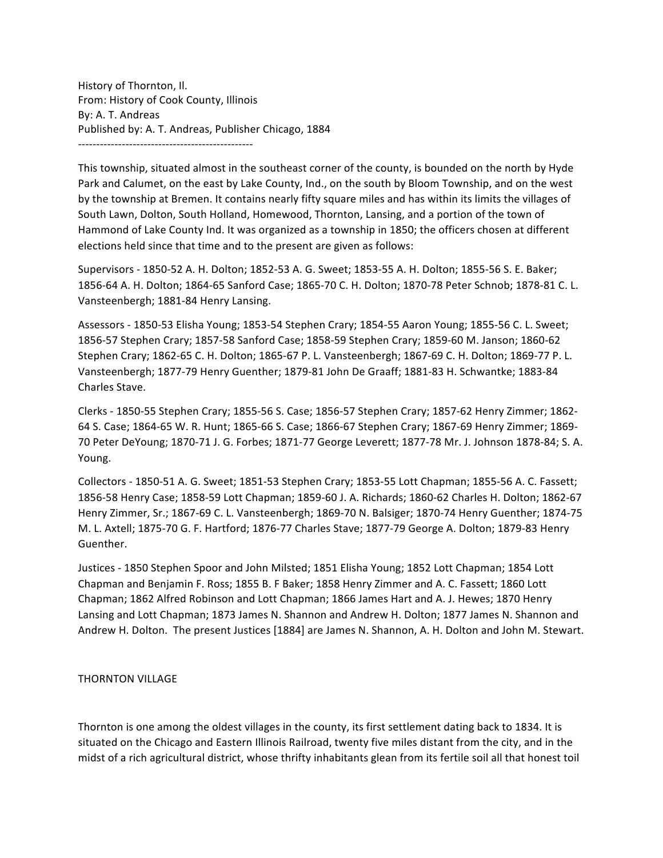History of Thornton, Il. From: History of Cook County, Illinois By: A. T. Andreas Published by: A. T. Andreas, Publisher Chicago, 1884 ------------------------------------------------

This township, situated almost in the southeast corner of the county, is bounded on the north by Hyde Park and Calumet, on the east by Lake County, Ind., on the south by Bloom Township, and on the west by the township at Bremen. It contains nearly fifty square miles and has within its limits the villages of South Lawn, Dolton, South Holland, Homewood, Thornton, Lansing, and a portion of the town of Hammond of Lake County Ind. It was organized as a township in 1850; the officers chosen at different elections held since that time and to the present are given as follows:

Supervisors - 1850-52 A. H. Dolton; 1852-53 A. G. Sweet; 1853-55 A. H. Dolton; 1855-56 S. E. Baker; 1856-64 A. H. Dolton; 1864-65 Sanford Case; 1865-70 C. H. Dolton; 1870-78 Peter Schnob; 1878-81 C. L. Vansteenbergh; 1881-84 Henry Lansing.

Assessors - 1850-53 Elisha Young; 1853-54 Stephen Crary; 1854-55 Aaron Young; 1855-56 C. L. Sweet; 1856-57 Stephen Crary; 1857-58 Sanford Case; 1858-59 Stephen Crary; 1859-60 M. Janson; 1860-62 Stephen Crary; 1862-65 C. H. Dolton; 1865-67 P. L. Vansteenbergh; 1867-69 C. H. Dolton; 1869-77 P. L. Vansteenbergh; 1877-79 Henry Guenther; 1879-81 John De Graaff; 1881-83 H. Schwantke; 1883-84 Charles Stave.

Clerks - 1850-55 Stephen Crary; 1855-56 S. Case; 1856-57 Stephen Crary; 1857-62 Henry Zimmer; 1862-64 S. Case; 1864-65 W. R. Hunt; 1865-66 S. Case; 1866-67 Stephen Crary; 1867-69 Henry Zimmer; 1869-70 Peter DeYoung; 1870-71 J. G. Forbes; 1871-77 George Leverett; 1877-78 Mr. J. Johnson 1878-84; S. A. Young. 

Collectors - 1850-51 A. G. Sweet; 1851-53 Stephen Crary; 1853-55 Lott Chapman; 1855-56 A. C. Fassett; 1856-58 Henry Case; 1858-59 Lott Chapman; 1859-60 J. A. Richards; 1860-62 Charles H. Dolton; 1862-67 Henry Zimmer, Sr.; 1867-69 C. L. Vansteenbergh; 1869-70 N. Balsiger; 1870-74 Henry Guenther; 1874-75 M. L. Axtell; 1875-70 G. F. Hartford; 1876-77 Charles Stave; 1877-79 George A. Dolton; 1879-83 Henry Guenther.

Justices - 1850 Stephen Spoor and John Milsted; 1851 Elisha Young; 1852 Lott Chapman; 1854 Lott Chapman and Benjamin F. Ross; 1855 B. F Baker; 1858 Henry Zimmer and A. C. Fassett; 1860 Lott Chapman; 1862 Alfred Robinson and Lott Chapman; 1866 James Hart and A. J. Hewes; 1870 Henry Lansing and Lott Chapman; 1873 James N. Shannon and Andrew H. Dolton; 1877 James N. Shannon and Andrew H. Dolton. The present Justices [1884] are James N. Shannon, A. H. Dolton and John M. Stewart.

## **THORNTON VILLAGE**

Thornton is one among the oldest villages in the county, its first settlement dating back to 1834. It is situated on the Chicago and Eastern Illinois Railroad, twenty five miles distant from the city, and in the midst of a rich agricultural district, whose thrifty inhabitants glean from its fertile soil all that honest toil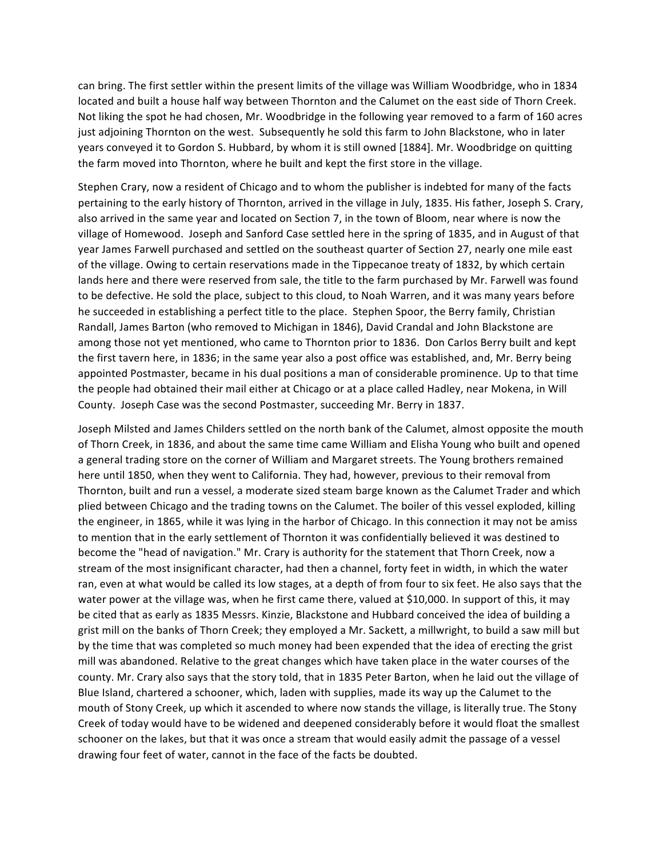can bring. The first settler within the present limits of the village was William Woodbridge, who in 1834 located and built a house half way between Thornton and the Calumet on the east side of Thorn Creek. Not liking the spot he had chosen, Mr. Woodbridge in the following year removed to a farm of 160 acres just adjoining Thornton on the west. Subsequently he sold this farm to John Blackstone, who in later years conveyed it to Gordon S. Hubbard, by whom it is still owned [1884]. Mr. Woodbridge on quitting the farm moved into Thornton, where he built and kept the first store in the village.

Stephen Crary, now a resident of Chicago and to whom the publisher is indebted for many of the facts pertaining to the early history of Thornton, arrived in the village in July, 1835. His father, Joseph S. Crary, also arrived in the same year and located on Section 7, in the town of Bloom, near where is now the village of Homewood. Joseph and Sanford Case settled here in the spring of 1835, and in August of that year James Farwell purchased and settled on the southeast quarter of Section 27, nearly one mile east of the village. Owing to certain reservations made in the Tippecanoe treaty of 1832, by which certain lands here and there were reserved from sale, the title to the farm purchased by Mr. Farwell was found to be defective. He sold the place, subject to this cloud, to Noah Warren, and it was many years before he succeeded in establishing a perfect title to the place. Stephen Spoor, the Berry family, Christian Randall, James Barton (who removed to Michigan in 1846), David Crandal and John Blackstone are among those not yet mentioned, who came to Thornton prior to 1836. Don Carlos Berry built and kept the first tavern here, in 1836; in the same year also a post office was established, and, Mr. Berry being appointed Postmaster, became in his dual positions a man of considerable prominence. Up to that time the people had obtained their mail either at Chicago or at a place called Hadley, near Mokena, in Will County. Joseph Case was the second Postmaster, succeeding Mr. Berry in 1837.

Joseph Milsted and James Childers settled on the north bank of the Calumet, almost opposite the mouth of Thorn Creek, in 1836, and about the same time came William and Elisha Young who built and opened a general trading store on the corner of William and Margaret streets. The Young brothers remained here until 1850, when they went to California. They had, however, previous to their removal from Thornton, built and run a vessel, a moderate sized steam barge known as the Calumet Trader and which plied between Chicago and the trading towns on the Calumet. The boiler of this vessel exploded, killing the engineer, in 1865, while it was lying in the harbor of Chicago. In this connection it may not be amiss to mention that in the early settlement of Thornton it was confidentially believed it was destined to become the "head of navigation." Mr. Crary is authority for the statement that Thorn Creek, now a stream of the most insignificant character, had then a channel, forty feet in width, in which the water ran, even at what would be called its low stages, at a depth of from four to six feet. He also says that the water power at the village was, when he first came there, valued at \$10,000. In support of this, it may be cited that as early as 1835 Messrs. Kinzie, Blackstone and Hubbard conceived the idea of building a grist mill on the banks of Thorn Creek; they employed a Mr. Sackett, a millwright, to build a saw mill but by the time that was completed so much money had been expended that the idea of erecting the grist mill was abandoned. Relative to the great changes which have taken place in the water courses of the county. Mr. Crary also says that the story told, that in 1835 Peter Barton, when he laid out the village of Blue Island, chartered a schooner, which, laden with supplies, made its way up the Calumet to the mouth of Stony Creek, up which it ascended to where now stands the village, is literally true. The Stony Creek of today would have to be widened and deepened considerably before it would float the smallest schooner on the lakes, but that it was once a stream that would easily admit the passage of a vessel drawing four feet of water, cannot in the face of the facts be doubted.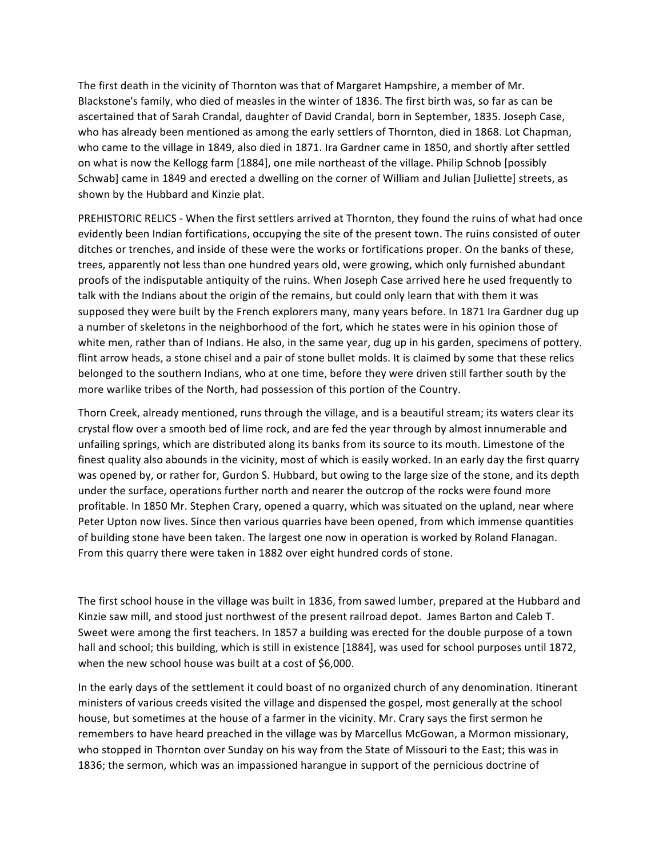The first death in the vicinity of Thornton was that of Margaret Hampshire, a member of Mr. Blackstone's family, who died of measles in the winter of 1836. The first birth was, so far as can be ascertained that of Sarah Crandal, daughter of David Crandal, born in September, 1835. Joseph Case, who has already been mentioned as among the early settlers of Thornton, died in 1868. Lot Chapman, who came to the village in 1849, also died in 1871. Ira Gardner came in 1850, and shortly after settled on what is now the Kellogg farm [1884], one mile northeast of the village. Philip Schnob [possibly Schwab] came in 1849 and erected a dwelling on the corner of William and Julian [Juliette] streets, as shown by the Hubbard and Kinzie plat.

PREHISTORIC RELICS - When the first settlers arrived at Thornton, they found the ruins of what had once evidently been Indian fortifications, occupying the site of the present town. The ruins consisted of outer ditches or trenches, and inside of these were the works or fortifications proper. On the banks of these, trees, apparently not less than one hundred years old, were growing, which only furnished abundant proofs of the indisputable antiquity of the ruins. When Joseph Case arrived here he used frequently to talk with the Indians about the origin of the remains, but could only learn that with them it was supposed they were built by the French explorers many, many years before. In 1871 Ira Gardner dug up a number of skeletons in the neighborhood of the fort, which he states were in his opinion those of white men, rather than of Indians. He also, in the same year, dug up in his garden, specimens of pottery. flint arrow heads, a stone chisel and a pair of stone bullet molds. It is claimed by some that these relics belonged to the southern Indians, who at one time, before they were driven still farther south by the more warlike tribes of the North, had possession of this portion of the Country.

Thorn Creek, already mentioned, runs through the village, and is a beautiful stream; its waters clear its crystal flow over a smooth bed of lime rock, and are fed the year through by almost innumerable and unfailing springs, which are distributed along its banks from its source to its mouth. Limestone of the finest quality also abounds in the vicinity, most of which is easily worked. In an early day the first quarry was opened by, or rather for, Gurdon S. Hubbard, but owing to the large size of the stone, and its depth under the surface, operations further north and nearer the outcrop of the rocks were found more profitable. In 1850 Mr. Stephen Crary, opened a quarry, which was situated on the upland, near where Peter Upton now lives. Since then various quarries have been opened, from which immense quantities of building stone have been taken. The largest one now in operation is worked by Roland Flanagan. From this quarry there were taken in 1882 over eight hundred cords of stone.

The first school house in the village was built in 1836, from sawed lumber, prepared at the Hubbard and Kinzie saw mill, and stood just northwest of the present railroad depot. James Barton and Caleb T. Sweet were among the first teachers. In 1857 a building was erected for the double purpose of a town hall and school; this building, which is still in existence [1884], was used for school purposes until 1872, when the new school house was built at a cost of \$6,000.

In the early days of the settlement it could boast of no organized church of any denomination. Itinerant ministers of various creeds visited the village and dispensed the gospel, most generally at the school house, but sometimes at the house of a farmer in the vicinity. Mr. Crary says the first sermon he remembers to have heard preached in the village was by Marcellus McGowan, a Mormon missionary, who stopped in Thornton over Sunday on his way from the State of Missouri to the East; this was in 1836; the sermon, which was an impassioned harangue in support of the pernicious doctrine of